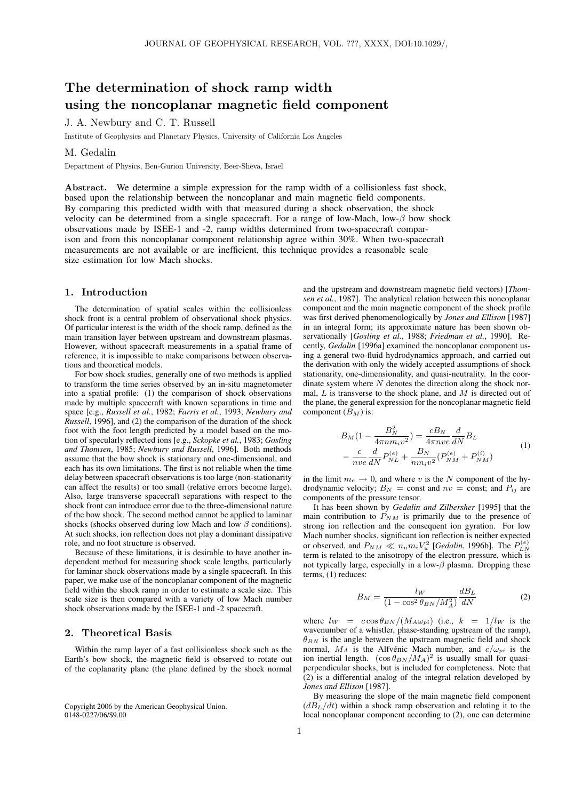# The determination of shock ramp width using the noncoplanar magnetic field component

## J. A. Newbury and C. T. Russell

Institute of Geophysics and Planetary Physics, University of California Los Angeles

## M. Gedalin

Department of Physics, Ben-Gurion University, Beer-Sheva, Israel

Abstract. We determine a simple expression for the ramp width of a collisionless fast shock, based upon the relationship between the noncoplanar and main magnetic field components. By comparing this predicted width with that measured during a shock observation, the shock velocity can be determined from a single spacecraft. For a range of low-Mach, low- $\beta$  bow shock observations made by ISEE-1 and -2, ramp widths determined from two-spacecraft comparison and from this noncoplanar component relationship agree within 30%. When two-spacecraft measurements are not available or are inefficient, this technique provides a reasonable scale size estimation for low Mach shocks.

## 1. Introduction

The determination of spatial scales within the collisionless shock front is a central problem of observational shock physics. Of particular interest is the width of the shock ramp, defined as the main transition layer between upstream and downstream plasmas. However, without spacecraft measurements in a spatial frame of reference, it is impossible to make comparisons between observations and theoretical models.

For bow shock studies, generally one of two methods is applied to transform the time series observed by an in-situ magnetometer into a spatial profile: (1) the comparison of shock observations made by multiple spacecraft with known separations in time and space [e.g., *Russell et al.*, 1982; *Farris et al.*, 1993; *Newbury and Russell*, 1996], and (2) the comparison of the duration of the shock foot with the foot length predicted by a model based on the motion of specularly reflected ions [e.g., *Sckopke et al.*, 1983; *Gosling and Thomsen*, 1985; *Newbury and Russell*, 1996]. Both methods assume that the bow shock is stationary and one-dimensional, and each has its own limitations. The first is not reliable when the time delay between spacecraft observations is too large (non-stationarity can affect the results) or too small (relative errors become large). Also, large transverse spacecraft separations with respect to the shock front can introduce error due to the three-dimensional nature of the bow shock. The second method cannot be applied to laminar shocks (shocks observed during low Mach and low  $\beta$  conditions). At such shocks, ion reflection does not play a dominant dissipative role, and no foot structure is observed.

Because of these limitations, it is desirable to have another independent method for measuring shock scale lengths, particularly for laminar shock observations made by a single spacecraft. In this paper, we make use of the noncoplanar component of the magnetic field within the shock ramp in order to estimate a scale size. This scale size is then compared with a variety of low Mach number shock observations made by the ISEE-1 and -2 spacecraft.

#### 2. Theoretical Basis

Within the ramp layer of a fast collisionless shock such as the Earth's bow shock, the magnetic field is observed to rotate out of the coplanarity plane (the plane defined by the shock normal

Copyright 2006 by the American Geophysical Union. 0148-0227/06/\$9.00

and the upstream and downstream magnetic field vectors) [*Thomsen et al.*, 1987]. The analytical relation between this noncoplanar component and the main magnetic component of the shock profile was first derived phenomenologically by *Jones and Ellison* [1987] in an integral form; its approximate nature has been shown observationally [*Gosling et al.*, 1988; *Friedman et al.*, 1990]. Recently, *Gedalin* [1996a] examined the noncoplanar component using a general two-fluid hydrodynamics approach, and carried out the derivation with only the widely accepted assumptions of shock stationarity, one-dimensionality, and quasi-neutrality. In the coordinate system where  $N$  denotes the direction along the shock normal,  $L$  is transverse to the shock plane, and  $M$  is directed out of the plane, the general expression for the noncoplanar magnetic field component  $(B_M)$  is:

$$
B_M(1 - \frac{B_N^2}{4\pi n m_i v^2}) = \frac{cB_N}{4\pi n v e} \frac{d}{dN} B_L
$$
  
- 
$$
\frac{c}{n v e} \frac{d}{dN} P_{NL}^{(e)} + \frac{B_N}{n m_i v^2} (P_{NM}^{(e)} + P_{NM}^{(i)})
$$
 (1)

in the limit  $m_e \rightarrow 0$ , and where v is the N component of the hydrodynamic velocity;  $B_N = \text{const}$  and  $nv = \text{const}$ ; and  $P_{ij}$  are components of the pressure tensor.

It has been shown by *Gedalin and Zilbersher* [1995] that the main contribution to  $P_{NM}$  is primarily due to the presence of strong ion reflection and the consequent ion gyration. For low Mach number shocks, significant ion reflection is neither expected or observed, and  $P_{NM} \ll n_u m_i V_u^2$  [*Gedalin*, 1996b]. The  $P_{LN}^{(e)}$ term is related to the anisotropy of the electron pressure, which is not typically large, especially in a low- $\beta$  plasma. Dropping these terms, (1) reduces:

$$
B_M = \frac{lw}{(1 - \cos^2 \theta_{BN}/M_A^2)} \frac{dB_L}{dN}
$$
 (2)

where  $l_W = c \cos \theta_{BN} / (M_A \omega_{pi})$  (i.e.,  $k = 1 / l_W$  is the wavenumber of a whistler, phase-standing upstream of the ramp),  $\theta_{BN}$  is the angle between the upstream magnetic field and shock normal,  $M_A$  is the Alfvenic Mach number, and  $c/\omega_{pi}$  is the ion inertial length.  $(\cos \theta_{BN} / M_A)^2$  is usually small for quasiperpendicular shocks, but is included for completeness. Note that (2) is a differential analog of the integral relation developed by *Jones and Ellison* [1987].

By measuring the slope of the main magnetic field component  $\left(dB_L/dt\right)$  within a shock ramp observation and relating it to the local noncoplanar component according to (2), one can determine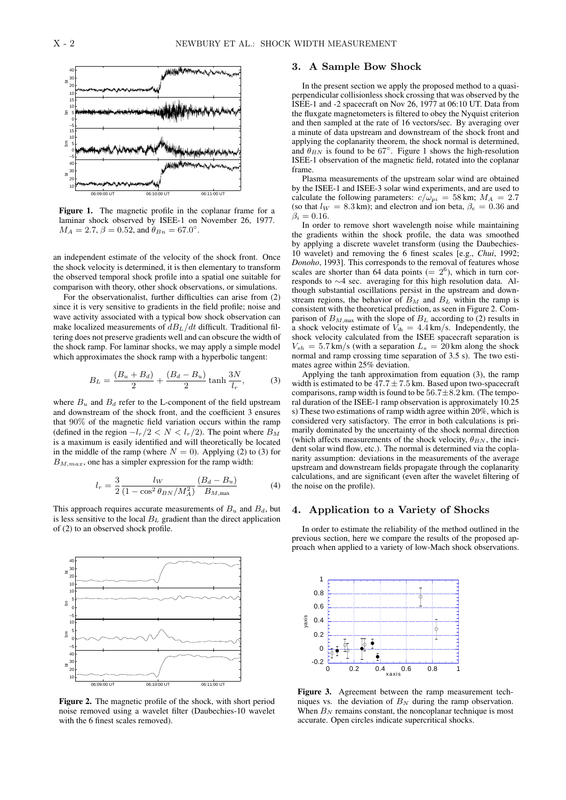

Figure 1. The magnetic profile in the coplanar frame for a laminar shock observed by ISEE-1 on November 26, 1977.  $M_A = 2.7, \beta = 0.52, \text{ and } \theta_{Bn} = 67.0^{\circ}.$ 

an independent estimate of the velocity of the shock front. Once the shock velocity is determined, it is then elementary to transform the observed temporal shock profile into a spatial one suitable for comparison with theory, other shock observations, or simulations.

For the observationalist, further difficulties can arise from (2) since it is very sensitive to gradients in the field profile; noise and wave activity associated with a typical bow shock observation can make localized measurements of  $dB_L/dt$  difficult. Traditional filtering does not preserve gradients well and can obscure the width of the shock ramp. For laminar shocks, we may apply a simple model which approximates the shock ramp with a hyperbolic tangent:

$$
B_L = \frac{(B_u + B_d)}{2} + \frac{(B_d - B_u)}{2} \tanh \frac{3N}{l_r},
$$
 (3)

where  $B_u$  and  $B_d$  refer to the L-component of the field upstream and downstream of the shock front, and the coefficient 3 ensures that 90% of the magnetic field variation occurs within the ramp (defined in the region  $-l_r/2 < N < l_r/2$ ). The point where  $B_M$ is a maximum is easily identified and will theoretically be located in the middle of the ramp (where  $N = 0$ ). Applying (2) to (3) for  $B_{M,max}$ , one has a simpler expression for the ramp width:

$$
l_r = \frac{3}{2} \frac{l_W}{(1 - \cos^2 \theta_{BN} / M_A^2)} \frac{(B_d - B_u)}{B_{M, \text{max}}}
$$
(4)

This approach requires accurate measurements of  $B_u$  and  $B_d$ , but is less sensitive to the local  $B<sub>L</sub>$  gradient than the direct application of (2) to an observed shock profile.



Figure 2. The magnetic profile of the shock, with short period noise removed using a wavelet filter (Daubechies-10 wavelet with the 6 finest scales removed).

## 3. A Sample Bow Shock

In the present section we apply the proposed method to a quasiperpendicular collisionless shock crossing that was observed by the ISEE-1 and -2 spacecraft on Nov 26, 1977 at 06:10 UT. Data from the fluxgate magnetometers is filtered to obey the Nyquist criterion and then sampled at the rate of 16 vectors/sec. By averaging over a minute of data upstream and downstream of the shock front and applying the coplanarity theorem, the shock normal is determined, and  $\theta_{BN}$  is found to be 67°. Figure 1 shows the high-resolution ISEE-1 observation of the magnetic field, rotated into the coplanar frame.

Plasma measurements of the upstream solar wind are obtained by the ISEE-1 and ISEE-3 solar wind experiments, and are used to calculate the following parameters:  $c/\omega_{pi} = 58 \text{ km}$ ;  $M_A = 2.7$ (so that  $l_W = 8.3 \text{ km}$ ); and electron and ion beta,  $\beta_e = 0.36$  and  $\beta_i = 0.16$ .

In order to remove short wavelength noise while maintaining the gradients within the shock profile, the data was smoothed by applying a discrete wavelet transform (using the Daubechies-10 wavelet) and removing the 6 finest scales [e.g., *Chui*, 1992; *Donoho*, 1993]. This corresponds to the removal of features whose scales are shorter than 64 data points (=  $2^6$ ), which in turn corresponds to ∼4 sec. averaging for this high resolution data. Although substantial oscillations persist in the upstream and downstream regions, the behavior of  $B_M$  and  $B_L$  within the ramp is consistent with the theoretical prediction, as seen in Figure 2. Comparison of  $B_{M,\text{max}}$  with the slope of  $B_L$  according to (2) results in a shock velocity estimate of  $\hat{V}_{\text{sh}} = 4.4 \text{ km/s}$ . Independently, the shock velocity calculated from the ISEE spacecraft separation is  $V_{sh} = 5.7 \text{ km/s}$  (with a separation  $L_s = 20 \text{ km}$  along the shock normal and ramp crossing time separation of 3.5 s). The two estimates agree within 25% deviation.

Applying the tanh approximation from equation (3), the ramp width is estimated to be  $47.7 \pm 7.5$  km. Based upon two-spacecraft comparisons, ramp width is found to be  $56.7 \pm 8.2$  km. (The temporal duration of the ISEE-1 ramp observation is approximately 10.25 s) These two estimations of ramp width agree within 20%, which is considered very satisfactory. The error in both calculations is primarily dominated by the uncertainty of the shock normal direction (which affects measurements of the shock velocity,  $\theta_{BN}$ , the incident solar wind flow, etc.). The normal is determined via the coplanarity assumption: deviations in the measurements of the average upstream and downstream fields propagate through the coplanarity calculations, and are significant (even after the wavelet filtering of the noise on the profile).

## 4. Application to a Variety of Shocks

In order to estimate the reliability of the method outlined in the previous section, here we compare the results of the proposed approach when applied to a variety of low-Mach shock observations.



Figure 3. Agreement between the ramp measurement techniques vs. the deviation of  $B_N$  during the ramp observation. When  $B_N$  remains constant, the noncoplanar technique is most accurate. Open circles indicate supercritical shocks.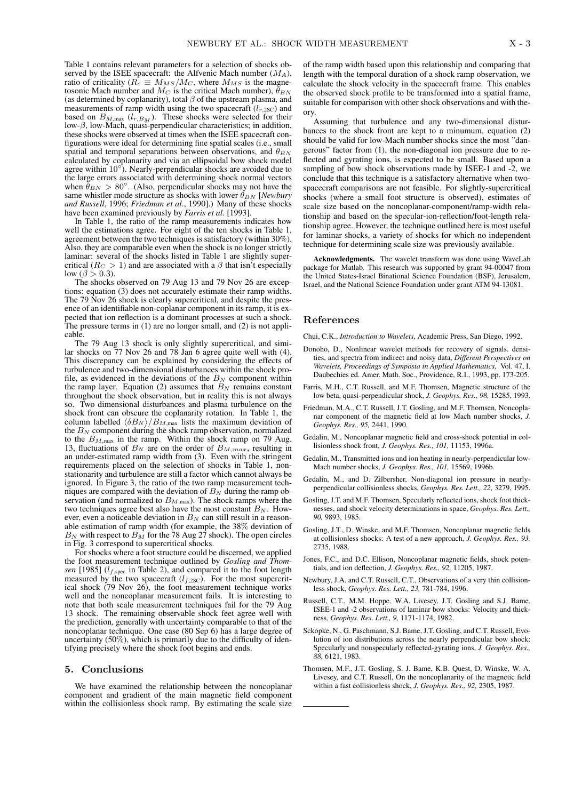Table 1 contains relevant parameters for a selection of shocks observed by the ISEE spacecraft: the Alfvenic Mach number  $(M_A)$ , ratio of criticality ( $R_c \equiv M_{MS}/M_C$ , where  $M_{MS}$  is the magnetosonic Mach number and  $M_C$  is the critical Mach number),  $\tilde{\theta}_{BN}$ (as determined by coplanarity), total  $\beta$  of the upstream plasma, and measurements of ramp width using the two spacecraft  $(l_{r,2SC})$  and based on  $B_{M,\text{max}}$  ( $l_{r,B_M}$ ). These shocks were selected for their low- $\beta$ , low-Mach, quasi-perpendicular characteristics; in addition, these shocks were observed at times when the ISEE spacecraft configurations were ideal for determining fine spatial scales (i.e., small spatial and temporal separations between observations, and  $\theta_{BN}$ calculated by coplanarity and via an ellipsoidal bow shock model agree within  $10^{\circ}$ ). Nearly-perpendicular shocks are avoided due to the large errors associated with determining shock normal vectors when  $\ddot{\theta}_{BN} > 80^{\circ}$ . (Also, perpendicular shocks may not have the same whistler mode structure as shocks with lower  $\theta_{BN}$  [*Newbury and Russell*, 1996; *Friedman et al.*, 1990].) Many of these shocks have been examined previously by *Farris et al.* [1993].

In Table 1, the ratio of the ramp measurements indicates how well the estimations agree. For eight of the ten shocks in Table 1, agreement between the two techniques is satisfactory (within 30%). Also, they are comparable even when the shock is no longer strictly laminar: several of the shocks listed in Table 1 are slightly supercritical ( $R_C > 1$ ) and are associated with a  $\beta$  that isn't especially low ( $\beta > 0.3$ ).

The shocks observed on 79 Aug 13 and 79 Nov 26 are exceptions: equation (3) does not accurately estimate their ramp widths. The 79 Nov 26 shock is clearly supercritical, and despite the presence of an identifiable non-coplanar component in its ramp, it is expected that ion reflection is a dominant processes at such a shock. The pressure terms in (1) are no longer small, and (2) is not applicable.

The 79 Aug 13 shock is only slightly supercritical, and similar shocks on 77 Nov 26 and 78 Jan 6 agree quite well with (4). This discrepancy can be explained by considering the effects of turbulence and two-dimensional disturbances within the shock profile, as evidenced in the deviations of the  $B<sub>N</sub>$  component within the ramp layer. Equation (2) assumes that  $B<sub>N</sub>$  remains constant throughout the shock observation, but in reality this is not always so. Two dimensional disturbances and plasma turbulence on the shock front can obscure the coplanarity rotation. In Table 1, the column labelled  $\langle \delta B_N \rangle/B_{M,\text{max}}$  lists the maximum deviation of the  $B_N$  component during the shock ramp observation, normalized to the  $B_{M,\text{max}}$  in the ramp. Within the shock ramp on 79 Aug. 13, fluctuations of  $B_N$  are on the order of  $B_{M,max}$ , resulting in an under-estimated ramp width from (3). Even with the stringent requirements placed on the selection of shocks in Table 1, nonstationarity and turbulence are still a factor which cannot always be ignored. In Figure 3, the ratio of the two ramp measurement techniques are compared with the deviation of  $B<sub>N</sub>$  during the ramp observation (and normalized to  $B_{M,\text{max}}$ ). The shock ramps where the two techniques agree best also have the most constant  $B_N$ . However, even a noticeable deviation in  $B<sub>N</sub>$  can still result in a reasonable estimation of ramp width (for example, the 38% deviation of  $B_N$  with respect to  $B_M$  for the 78 Aug 27 shock). The open circles in Fig. 3 correspond to supercritical shocks.

For shocks where a foot structure could be discerned, we applied the foot measurement technique outlined by *Gosling and Thomsen* [1985] ( $l_{f,spec}$  in Table 2), and compared it to the foot length measured by the two spacecraft  $(l_{f,2SC})$ . For the most supercritical shock (79 Nov 26), the foot measurement technique works well and the noncoplanar measurement fails. It is interesting to note that both scale measurement techniques fail for the 79 Aug 13 shock. The remaining observable shock feet agree well with the prediction, generally with uncertainty comparable to that of the noncoplanar technique. One case (80 Sep 6) has a large degree of uncertainty (50%), which is primarily due to the difficulty of identifying precisely where the shock foot begins and ends.

### 5. Conclusions

We have examined the relationship between the noncoplanar component and gradient of the main magnetic field component within the collisionless shock ramp. By estimating the scale size

of the ramp width based upon this relationship and comparing that length with the temporal duration of a shock ramp observation, we calculate the shock velocity in the spacecraft frame. This enables the observed shock profile to be transformed into a spatial frame, suitable for comparison with other shock observations and with theory.

Assuming that turbulence and any two-dimensional disturbances to the shock front are kept to a minumum, equation (2) should be valid for low-Mach number shocks since the most "dangerous" factor from (1), the non-diagonal ion pressure due to reflected and gyrating ions, is expected to be small. Based upon a sampling of bow shock observations made by ISEE-1 and -2, we conclude that this technique is a satisfactory alternative when twospacecraft comparisons are not feasible. For slightly-supercritical shocks (where a small foot structure is observed), estimates of scale size based on the noncoplanar-component/ramp-width relationship and based on the specular-ion-reflection/foot-length relationship agree. However, the technique outlined here is most useful for laminar shocks, a variety of shocks for which no independent technique for determining scale size was previously available.

Acknowledgments. The wavelet transform was done using WaveLab package for Matlab. This research was supported by grant 94-00047 from the United States-Israel Binational Science Foundation (BSF), Jerusalem, Israel, and the National Science Foundation under grant ATM 94-13081.

#### References

Chui, C.K., *Introduction to Wavelets*, Academic Press, San Diego, 1992.

- Donoho, D., Nonlinear wavelet methods for recovery of signals. densities, and spectra from indirect and noisy data, *Different Perspectives on Wavelets, Proceedings of Symposia in Applied Mathematics,* Vol. 47, I. Daubechies ed. Amer. Math. Soc., Providence, R.I., 1993, pp. 173-205.
- Farris, M.H., C.T. Russell, and M.F. Thomsen, Magnetic structure of the low beta, quasi-perpendicular shock, *J. Geophys. Res., 98,* 15285, 1993.
- Friedman, M.A., C.T. Russell, J.T. Gosling, and M.F. Thomsen, Noncoplanar component of the magnetic field at low Mach number shocks, *J. Geophys. Res., 95,* 2441, 1990.
- Gedalin, M., Noncoplanar magnetic field and cross-shock potential in collisionless shock front, *J. Geophys. Res., 101,* 11153, 1996a.
- Gedalin, M., Transmitted ions and ion heating in nearly-perpendicular low-Mach number shocks, *J. Geophys. Res., 101,* 15569, 1996b.
- Gedalin, M., and D. Zilbersher, Non-diagonal ion pressure in nearlyperpendicular collisionless shocks, *Geophys. Res. Lett., 22,* 3279, 1995.
- Gosling, J.T. and M.F. Thomsen, Specularly reflected ions, shock foot thicknesses, and shock velocity determinations in space, *Geophys. Res. Lett., 90,* 9893, 1985.
- Gosling, J.T., D. Winske, and M.F. Thomsen, Noncoplanar magnetic fields at collisionless shocks: A test of a new approach, *J. Geophys. Res., 93,* 2735, 1988.
- Jones, F.C., and D.C. Ellison, Noncoplanar magnetic fields, shock potentials, and ion deflection, *J. Geophys. Res., 92,* 11205, 1987.
- Newbury, J.A. and C.T. Russell, C.T., Observations of a very thin collisionless shock, *Geophys. Res. Lett., 23,* 781-784, 1996.
- Russell, C.T., M.M. Hoppe, W.A. Livesey, J.T. Gosling and S.J. Bame, ISEE-1 and -2 observations of laminar bow shocks: Velocity and thickness, *Geophys. Res. Lett., 9,* 1171-1174, 1982.
- Sckopke, N., G. Paschmann, S.J. Bame, J.T. Gosling, and C.T. Russell, Evolution of ion distributions across the nearly perpendicular bow shock: Specularly and nonspecularly reflected-gyrating ions, *J. Geophys. Res., 88,* 6121, 1983.
- Thomsen, M.F., J.T. Gosling, S. J. Bame, K.B. Quest, D. Winske, W. A. Livesey, and C.T. Russell, On the noncoplanarity of the magnetic field within a fast collisionless shock, *J. Geophys. Res., 92,* 2305, 1987.